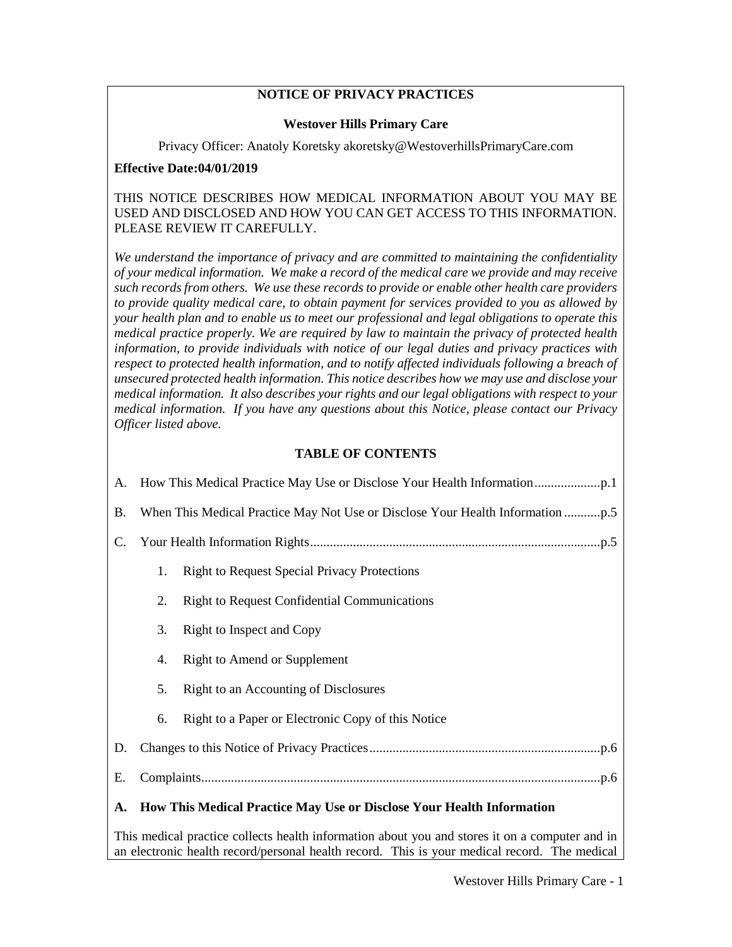#### **NOTICE OF PRIVACY PRACTICES**

#### **Westover Hills Primary Care**

Privacy Officer: Anatoly Koretsky akoretsky@WestoverhillsPrimaryCare.com

#### **Effective Date:04/01/2019**

THIS NOTICE DESCRIBES HOW MEDICAL INFORMATION ABOUT YOU MAY BE USED AND DISCLOSED AND HOW YOU CAN GET ACCESS TO THIS INFORMATION. PLEASE REVIEW IT CAREFULLY.

*We understand the importance of privacy and are committed to maintaining the confidentiality of your medical information. We make a record of the medical care we provide and may receive such records from others. We use these records to provide or enable other health care providers to provide quality medical care, to obtain payment for services provided to you as allowed by your health plan and to enable us to meet our professional and legal obligations to operate this medical practice properly. We are required by law to maintain the privacy of protected health information, to provide individuals with notice of our legal duties and privacy practices with respect to protected health information, and to notify affected individuals following a breach of unsecured protected health information. This notice describes how we may use and disclose your medical information. It also describes your rights and our legal obligations with respect to your medical information. If you have any questions about this Notice, please contact our Privacy Officer listed above.*

# **TABLE OF CONTENTS**

| А.        |                                                                       |                                                     |  |  |  |  |
|-----------|-----------------------------------------------------------------------|-----------------------------------------------------|--|--|--|--|
| <b>B.</b> |                                                                       |                                                     |  |  |  |  |
| C.        |                                                                       |                                                     |  |  |  |  |
|           | 1.                                                                    | <b>Right to Request Special Privacy Protections</b> |  |  |  |  |
|           | 2.                                                                    | <b>Right to Request Confidential Communications</b> |  |  |  |  |
|           | 3.                                                                    | Right to Inspect and Copy                           |  |  |  |  |
|           | 4.                                                                    | <b>Right to Amend or Supplement</b>                 |  |  |  |  |
|           | 5.                                                                    | Right to an Accounting of Disclosures               |  |  |  |  |
|           | 6.                                                                    | Right to a Paper or Electronic Copy of this Notice  |  |  |  |  |
| D.        |                                                                       |                                                     |  |  |  |  |
| Ε.        |                                                                       |                                                     |  |  |  |  |
| A.        | How This Medical Practice May Use or Disclose Your Health Information |                                                     |  |  |  |  |

<span id="page-0-0"></span>This medical practice collects health information about you and stores it on a computer and in an electronic health record/personal health record. This is your medical record. The medical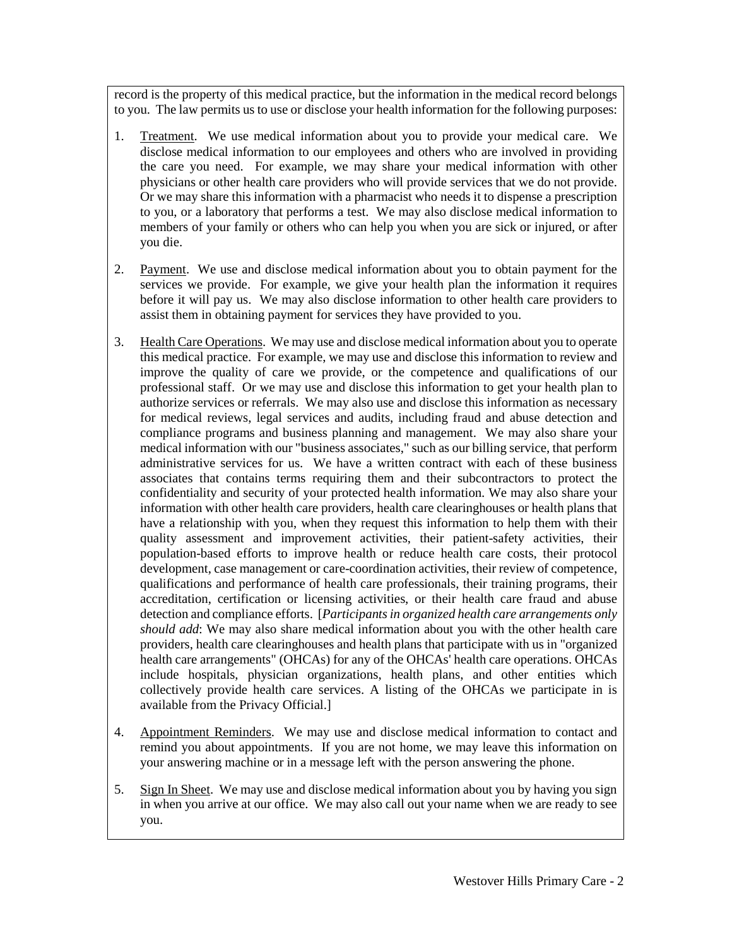record is the property of this medical practice, but the information in the medical record belongs to you. The law permits us to use or disclose your health information for the following purposes:

- 1. Treatment. We use medical information about you to provide your medical care. We disclose medical information to our employees and others who are involved in providing the care you need. For example, we may share your medical information with other physicians or other health care providers who will provide services that we do not provide. Or we may share this information with a pharmacist who needs it to dispense a prescription to you, or a laboratory that performs a test. We may also disclose medical information to members of your family or others who can help you when you are sick or injured, or after you die.
- 2. Payment. We use and disclose medical information about you to obtain payment for the services we provide. For example, we give your health plan the information it requires before it will pay us. We may also disclose information to other health care providers to assist them in obtaining payment for services they have provided to you.
- 3. Health Care Operations. We may use and disclose medical information about you to operate this medical practice. For example, we may use and disclose this information to review and improve the quality of care we provide, or the competence and qualifications of our professional staff. Or we may use and disclose this information to get your health plan to authorize services or referrals. We may also use and disclose this information as necessary for medical reviews, legal services and audits, including fraud and abuse detection and compliance programs and business planning and management. We may also share your medical information with our "business associates," such as our billing service, that perform administrative services for us. We have a written contract with each of these business associates that contains terms requiring them and their subcontractors to protect the confidentiality and security of your protected health information. We may also share your information with other health care providers, health care clearinghouses or health plans that have a relationship with you, when they request this information to help them with their quality assessment and improvement activities, their patient-safety activities, their population-based efforts to improve health or reduce health care costs, their protocol development, case management or care-coordination activities, their review of competence, qualifications and performance of health care professionals, their training programs, their accreditation, certification or licensing activities, or their health care fraud and abuse detection and compliance efforts. [*Participants in organized health care arrangements only should add*: We may also share medical information about you with the other health care providers, health care clearinghouses and health plans that participate with us in "organized health care arrangements" (OHCAs) for any of the OHCAs' health care operations. OHCAs include hospitals, physician organizations, health plans, and other entities which collectively provide health care services. A listing of the OHCAs we participate in is available from the Privacy Official.]
- 4. Appointment Reminders. We may use and disclose medical information to contact and remind you about appointments. If you are not home, we may leave this information on your answering machine or in a message left with the person answering the phone.
- 5. Sign In Sheet. We may use and disclose medical information about you by having you sign in when you arrive at our office. We may also call out your name when we are ready to see you.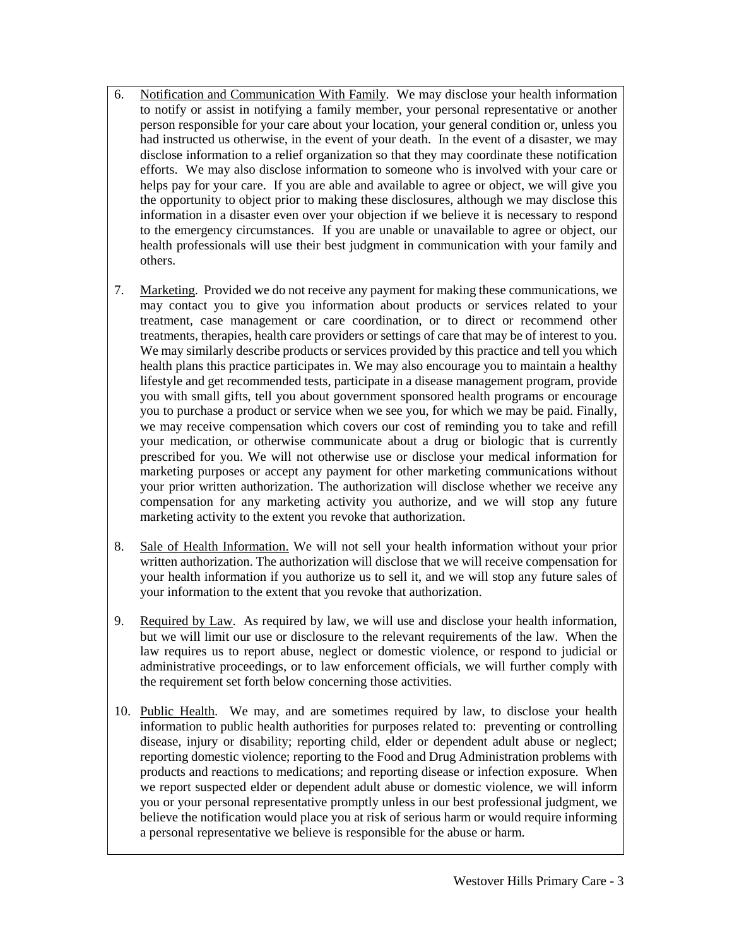- 6. Notification and Communication With Family. We may disclose your health information to notify or assist in notifying a family member, your personal representative or another person responsible for your care about your location, your general condition or, unless you had instructed us otherwise, in the event of your death. In the event of a disaster, we may disclose information to a relief organization so that they may coordinate these notification efforts. We may also disclose information to someone who is involved with your care or helps pay for your care. If you are able and available to agree or object, we will give you the opportunity to object prior to making these disclosures, although we may disclose this information in a disaster even over your objection if we believe it is necessary to respond to the emergency circumstances. If you are unable or unavailable to agree or object, our health professionals will use their best judgment in communication with your family and others.
- 7. Marketing. Provided we do not receive any payment for making these communications, we may contact you to give you information about products or services related to your treatment, case management or care coordination, or to direct or recommend other treatments, therapies, health care providers or settings of care that may be of interest to you. We may similarly describe products or services provided by this practice and tell you which health plans this practice participates in. We may also encourage you to maintain a healthy lifestyle and get recommended tests, participate in a disease management program, provide you with small gifts, tell you about government sponsored health programs or encourage you to purchase a product or service when we see you, for which we may be paid. Finally, we may receive compensation which covers our cost of reminding you to take and refill your medication, or otherwise communicate about a drug or biologic that is currently prescribed for you. We will not otherwise use or disclose your medical information for marketing purposes or accept any payment for other marketing communications without your prior written authorization. The authorization will disclose whether we receive any compensation for any marketing activity you authorize, and we will stop any future marketing activity to the extent you revoke that authorization.
- 8. Sale of Health Information. We will not sell your health information without your prior written authorization. The authorization will disclose that we will receive compensation for your health information if you authorize us to sell it, and we will stop any future sales of your information to the extent that you revoke that authorization.
- 9. Required by Law. As required by law, we will use and disclose your health information, but we will limit our use or disclosure to the relevant requirements of the law. When the law requires us to report abuse, neglect or domestic violence, or respond to judicial or administrative proceedings, or to law enforcement officials, we will further comply with the requirement set forth below concerning those activities.
- 10. Public Health. We may, and are sometimes required by law, to disclose your health information to public health authorities for purposes related to: preventing or controlling disease, injury or disability; reporting child, elder or dependent adult abuse or neglect; reporting domestic violence; reporting to the Food and Drug Administration problems with products and reactions to medications; and reporting disease or infection exposure. When we report suspected elder or dependent adult abuse or domestic violence, we will inform you or your personal representative promptly unless in our best professional judgment, we believe the notification would place you at risk of serious harm or would require informing a personal representative we believe is responsible for the abuse or harm.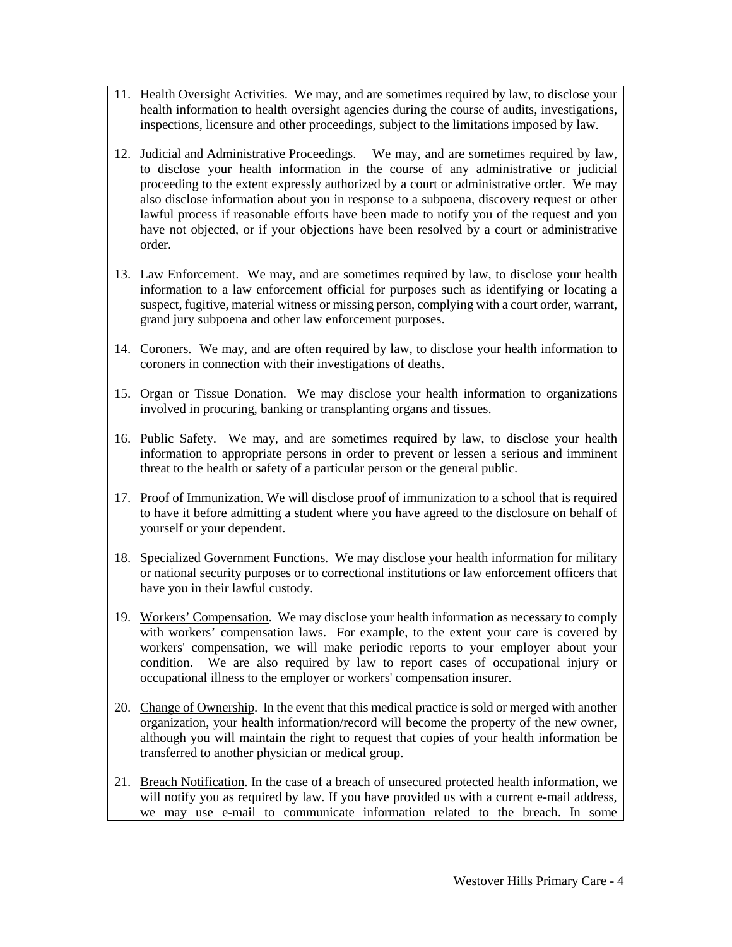- 11. Health Oversight Activities. We may, and are sometimes required by law, to disclose your health information to health oversight agencies during the course of audits, investigations, inspections, licensure and other proceedings, subject to the limitations imposed by law.
- 12. Judicial and Administrative Proceedings. We may, and are sometimes required by law, to disclose your health information in the course of any administrative or judicial proceeding to the extent expressly authorized by a court or administrative order. We may also disclose information about you in response to a subpoena, discovery request or other lawful process if reasonable efforts have been made to notify you of the request and you have not objected, or if your objections have been resolved by a court or administrative order.
- 13. Law Enforcement. We may, and are sometimes required by law, to disclose your health information to a law enforcement official for purposes such as identifying or locating a suspect, fugitive, material witness or missing person, complying with a court order, warrant, grand jury subpoena and other law enforcement purposes.
- 14. Coroners. We may, and are often required by law, to disclose your health information to coroners in connection with their investigations of deaths.
- 15. Organ or Tissue Donation. We may disclose your health information to organizations involved in procuring, banking or transplanting organs and tissues.
- 16. Public Safety. We may, and are sometimes required by law, to disclose your health information to appropriate persons in order to prevent or lessen a serious and imminent threat to the health or safety of a particular person or the general public.
- 17. Proof of Immunization. We will disclose proof of immunization to a school that is required to have it before admitting a student where you have agreed to the disclosure on behalf of yourself or your dependent.
- 18. Specialized Government Functions. We may disclose your health information for military or national security purposes or to correctional institutions or law enforcement officers that have you in their lawful custody.
- 19. Workers' Compensation. We may disclose your health information as necessary to comply with workers' compensation laws. For example, to the extent your care is covered by workers' compensation, we will make periodic reports to your employer about your condition. We are also required by law to report cases of occupational injury or occupational illness to the employer or workers' compensation insurer.
- 20. Change of Ownership. In the event that this medical practice is sold or merged with another organization, your health information/record will become the property of the new owner, although you will maintain the right to request that copies of your health information be transferred to another physician or medical group.
- 21. Breach Notification. In the case of a breach of unsecured protected health information, we will notify you as required by law. If you have provided us with a current e-mail address, we may use e-mail to communicate information related to the breach. In some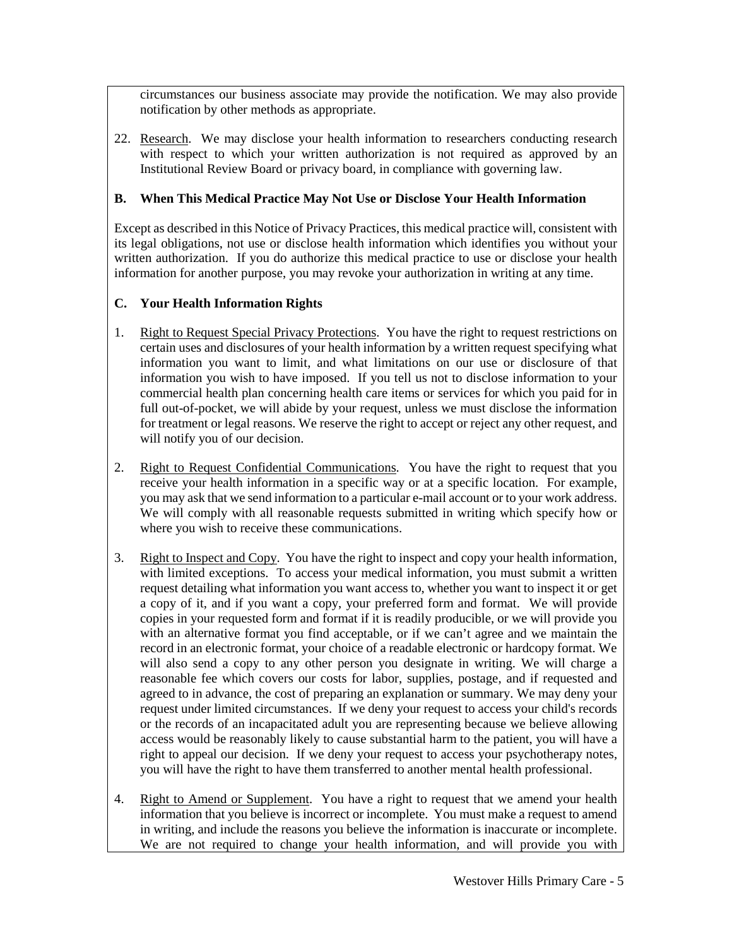circumstances our business associate may provide the notification. We may also provide notification by other methods as appropriate.

22. Research. We may disclose your health information to researchers conducting research with respect to which your written authorization is not required as approved by an Institutional Review Board or privacy board, in compliance with governing law.

# <span id="page-4-0"></span>**B. When This Medical Practice May Not Use or Disclose Your Health Information**

Except as described in this Notice of Privacy Practices, this medical practice will, consistent with its legal obligations, not use or disclose health information which identifies you without your written authorization. If you do authorize this medical practice to use or disclose your health information for another purpose, you may revoke your authorization in writing at any time.

#### <span id="page-4-1"></span>**C. Your Health Information Rights**

- 1. Right to Request Special Privacy Protections. You have the right to request restrictions on certain uses and disclosures of your health information by a written request specifying what information you want to limit, and what limitations on our use or disclosure of that information you wish to have imposed. If you tell us not to disclose information to your commercial health plan concerning health care items or services for which you paid for in full out-of-pocket, we will abide by your request, unless we must disclose the information for treatment or legal reasons. We reserve the right to accept or reject any other request, and will notify you of our decision.
- 2. Right to Request Confidential Communications. You have the right to request that you receive your health information in a specific way or at a specific location. For example, you may ask that we send information to a particular e-mail account or to your work address. We will comply with all reasonable requests submitted in writing which specify how or where you wish to receive these communications.
- 3. Right to Inspect and Copy. You have the right to inspect and copy your health information, with limited exceptions. To access your medical information, you must submit a written request detailing what information you want access to, whether you want to inspect it or get a copy of it, and if you want a copy, your preferred form and format. We will provide copies in your requested form and format if it is readily producible, or we will provide you with an alternative format you find acceptable, or if we can't agree and we maintain the record in an electronic format, your choice of a readable electronic or hardcopy format. We will also send a copy to any other person you designate in writing. We will charge a reasonable fee which covers our costs for labor, supplies, postage, and if requested and agreed to in advance, the cost of preparing an explanation or summary. We may deny your request under limited circumstances. If we deny your request to access your child's records or the records of an incapacitated adult you are representing because we believe allowing access would be reasonably likely to cause substantial harm to the patient, you will have a right to appeal our decision. If we deny your request to access your psychotherapy notes, you will have the right to have them transferred to another mental health professional.
- 4. Right to Amend or Supplement. You have a right to request that we amend your health information that you believe is incorrect or incomplete. You must make a request to amend in writing, and include the reasons you believe the information is inaccurate or incomplete. We are not required to change your health information, and will provide you with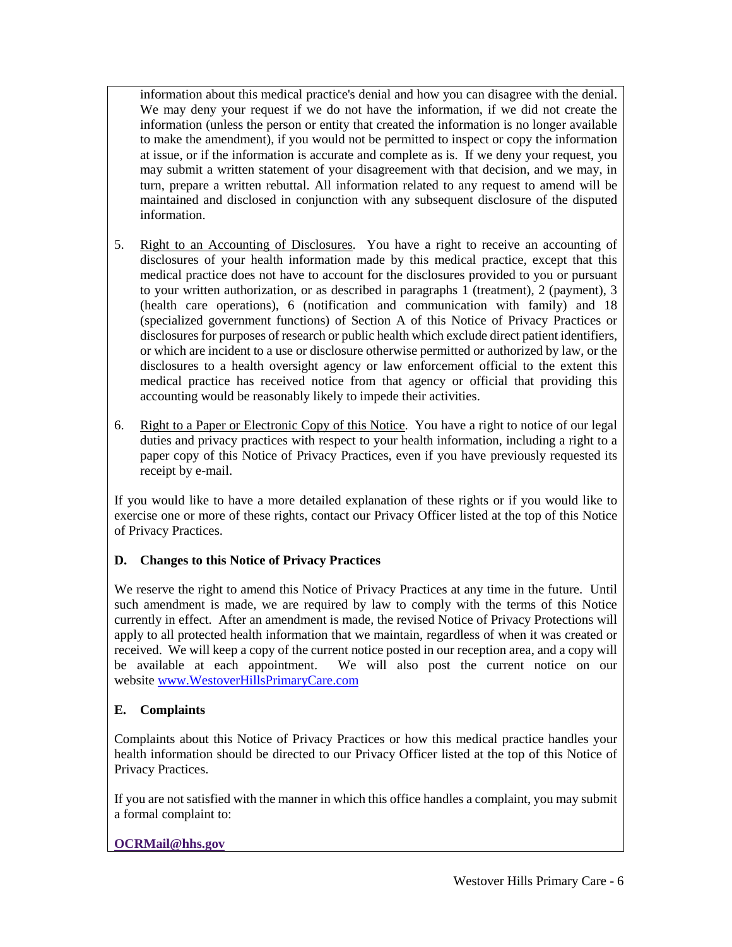information about this medical practice's denial and how you can disagree with the denial. We may deny your request if we do not have the information, if we did not create the information (unless the person or entity that created the information is no longer available to make the amendment), if you would not be permitted to inspect or copy the information at issue, or if the information is accurate and complete as is. If we deny your request, you may submit a written statement of your disagreement with that decision, and we may, in turn, prepare a written rebuttal. All information related to any request to amend will be maintained and disclosed in conjunction with any subsequent disclosure of the disputed information.

- 5. Right to an Accounting of Disclosures. You have a right to receive an accounting of disclosures of your health information made by this medical practice, except that this medical practice does not have to account for the disclosures provided to you or pursuant to your written authorization, or as described in paragraphs 1 (treatment), 2 (payment), 3 (health care operations), 6 (notification and communication with family) and 18 (specialized government functions) of Section A of this Notice of Privacy Practices or disclosures for purposes of research or public health which exclude direct patient identifiers, or which are incident to a use or disclosure otherwise permitted or authorized by law, or the disclosures to a health oversight agency or law enforcement official to the extent this medical practice has received notice from that agency or official that providing this accounting would be reasonably likely to impede their activities.
- 6. Right to a Paper or Electronic Copy of this Notice. You have a right to notice of our legal duties and privacy practices with respect to your health information, including a right to a paper copy of this Notice of Privacy Practices, even if you have previously requested its receipt by e-mail.

If you would like to have a more detailed explanation of these rights or if you would like to exercise one or more of these rights, contact our Privacy Officer listed at the top of this Notice of Privacy Practices.

# <span id="page-5-0"></span>**D. Changes to this Notice of Privacy Practices**

We reserve the right to amend this Notice of Privacy Practices at any time in the future. Until such amendment is made, we are required by law to comply with the terms of this Notice currently in effect. After an amendment is made, the revised Notice of Privacy Protections will apply to all protected health information that we maintain, regardless of when it was created or received. We will keep a copy of the current notice posted in our reception area, and a copy will be available at each appointment. We will also post the current notice on our website [www.WestoverHillsPrimaryCare.com](http://www.westoverhillsprimarycare.com/)

# <span id="page-5-1"></span>**E. Complaints**

Complaints about this Notice of Privacy Practices or how this medical practice handles your health information should be directed to our Privacy Officer listed at the top of this Notice of Privacy Practices.

If you are not satisfied with the manner in which this office handles a complaint, you may submit a formal complaint to:

# **OCRMail@hhs.gov**